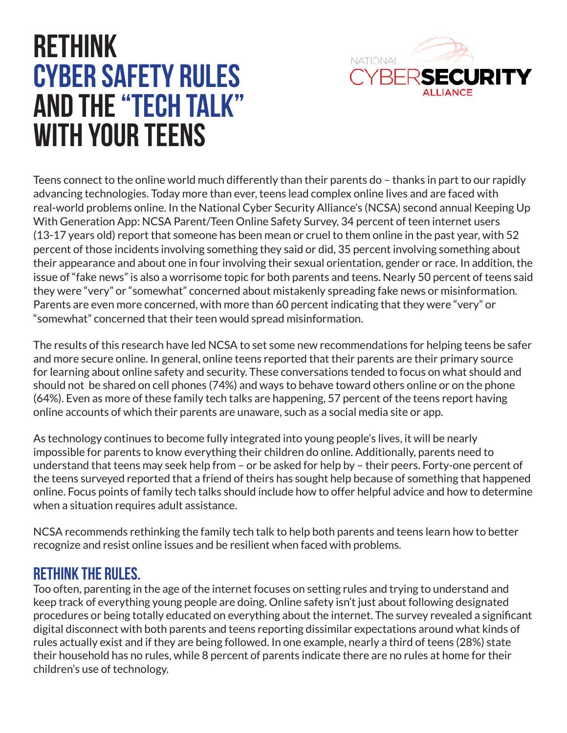

# **Rethink Cyber Safety Rules and the "Tech Talk" with Your Teens**

Teens connect to the online world much differently than their parents do – thanks in part to our rapidly advancing technologies. Today more than ever, teens lead complex online lives and are faced with real-world problems online. In the National Cyber Security Alliance's (NCSA) second annual Keeping Up With Generation App: NCSA Parent/Teen Online Safety Survey, 34 percent of teen internet users (13-17 years old) report that someone has been mean or cruel to them online in the past year, with 52 percent of those incidents involving something they said or did, 35 percent involving something about their appearance and about one in four involving their sexual orientation, gender or race. In addition, the issue of "fake news" is also a worrisome topic for both parents and teens. Nearly 50 percent of teens said they were "very" or "somewhat" concerned about mistakenly spreading fake news or misinformation. Parents are even more concerned, with more than 60 percent indicating that they were "very" or "somewhat" concerned that their teen would spread misinformation.

The results of this research have led NCSA to set some new recommendations for helping teens be safer and more secure online. In general, online teens reported that their parents are their primary source for learning about online safety and security. These conversations tended to focus on what should and should not be shared on cell phones (74%) and ways to behave toward others online or on the phone (64%). Even as more of these family tech talks are happening, 57 percent of the teens report having online accounts of which their parents are unaware, such as a social media site or app.

As technology continues to become fully integrated into young people's lives, it will be nearly impossible for parents to know everything their children do online. Additionally, parents need to understand that teens may seek help from – or be asked for help by – their peers. Forty-one percent of the teens surveyed reported that a friend of theirs has sought help because of something that happened online. Focus points of family tech talks should include how to offer helpful advice and how to determine when a situation requires adult assistance.

NCSA recommends rethinking the family tech talk to help both parents and teens learn how to better recognize and resist online issues and be resilient when faced with problems.

#### **RETHINK THE RULES.**

Too often, parenting in the age of the internet focuses on setting rules and trying to understand and keep track of everything young people are doing. Online safety isn't just about following designated procedures or being totally educated on everything about the internet. The survey revealed a significant digital disconnect with both parents and teens reporting dissimilar expectations around what kinds of rules actually exist and if they are being followed. In one example, nearly a third of teens (28%) state their household has no rules, while 8 percent of parents indicate there are no rules at home for their children's use of technology.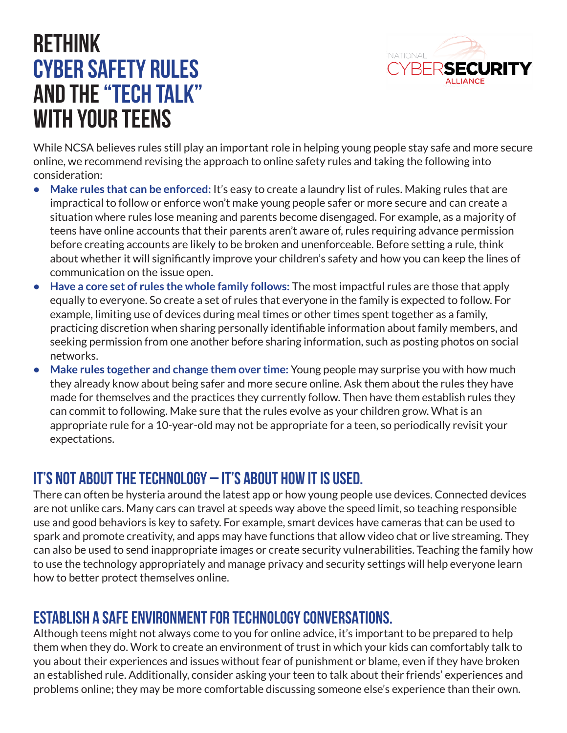

### **Rethink Cyber Safety Rules and the "Tech Talk" with Your Teens**

While NCSA believes rules still play an important role in helping young people stay safe and more secure online, we recommend revising the approach to online safety rules and taking the following into consideration:

- **Make rules that can be enforced:** It's easy to create a laundry list of rules. Making rules that are impractical to follow or enforce won't make young people safer or more secure and can create a situation where rules lose meaning and parents become disengaged. For example, as a majority of teens have online accounts that their parents aren't aware of, rules requiring advance permission before creating accounts are likely to be broken and unenforceable. Before setting a rule, think about whether it will significantly improve your children's safety and how you can keep the lines of communication on the issue open.
- **Have a core set of rules the whole family follows:** The most impactful rules are those that apply equally to everyone. So create a set of rules that everyone in the family is expected to follow. For example, limiting use of devices during meal times or other times spent together as a family, practicing discretion when sharing personally identifiable information about family members, and seeking permission from one another before sharing information, such as posting photos on social networks.
- **Make rules together and change them over time:** Young people may surprise you with how much they already know about being safer and more secure online. Ask them about the rules they have made for themselves and the practices they currently follow. Then have them establish rules they can commit to following. Make sure that the rules evolve as your children grow. What is an appropriate rule for a 10-year-old may not be appropriate for a teen, so periodically revisit your expectations.

#### **It's not about the technology – it's about how it is used.**

There can often be hysteria around the latest app or how young people use devices. Connected devices are not unlike cars. Many cars can travel at speeds way above the speed limit, so teaching responsible use and good behaviors is key to safety. For example, smart devices have cameras that can be used to spark and promote creativity, and apps may have functions that allow video chat or live streaming. They can also be used to send inappropriate images or create security vulnerabilities. Teaching the family how to use the technology appropriately and manage privacy and security settings will help everyone learn how to better protect themselves online.

#### **ESTABLISH A SAFE ENVIRONMENT FOR TECHNOLOGY CONVERSATIONS.**

Although teens might not always come to you for online advice, it's important to be prepared to help them when they do. Work to create an environment of trust in which your kids can comfortably talk to you about their experiences and issues without fear of punishment or blame, even if they have broken an established rule. Additionally, consider asking your teen to talk about their friends' experiences and problems online; they may be more comfortable discussing someone else's experience than their own.